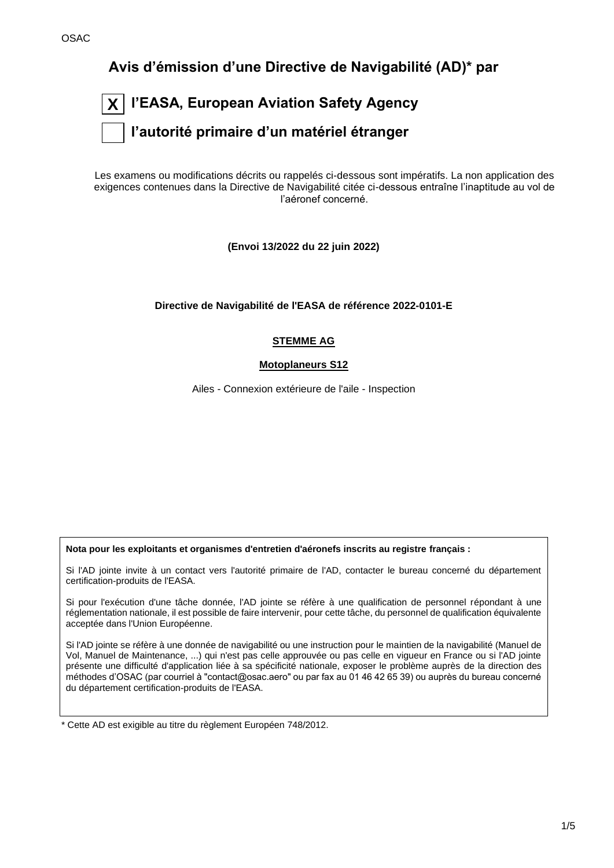**Avis d'émission d'une Directive de Navigabilité (AD)\* par**

| $\boxed{\textsf{X}}$ l'EASA, European Aviation Safety Agency |
|--------------------------------------------------------------|
| $ \;\;\; $ l'autorité primaire d'un matériel étranger        |

Les examens ou modifications décrits ou rappelés ci-dessous sont impératifs. La non application des exigences contenues dans la Directive de Navigabilité citée ci-dessous entraîne l'inaptitude au vol de l'aéronef concerné.

**(Envoi 13/2022 du 22 juin 2022)**

**Directive de Navigabilité de l'EASA de référence 2022-0101-E**

## **STEMME AG**

## **Motoplaneurs S12**

Ailes - Connexion extérieure de l'aile - Inspection

**Nota pour les exploitants et organismes d'entretien d'aéronefs inscrits au registre français :**

Si l'AD jointe invite à un contact vers l'autorité primaire de l'AD, contacter le bureau concerné du département certification-produits de l'EASA.

Si pour l'exécution d'une tâche donnée, l'AD jointe se réfère à une qualification de personnel répondant à une réglementation nationale, il est possible de faire intervenir, pour cette tâche, du personnel de qualification équivalente acceptée dans l'Union Européenne.

Si l'AD jointe se réfère à une donnée de navigabilité ou une instruction pour le maintien de la navigabilité (Manuel de Vol, Manuel de Maintenance, ...) qui n'est pas celle approuvée ou pas celle en vigueur en France ou si l'AD jointe présente une difficulté d'application liée à sa spécificité nationale, exposer le problème auprès de la direction des méthodes d'OSAC (par courriel à "contact@osac.aero" ou par fax au 01 46 42 65 39) ou auprès du bureau concerné du département certification-produits de l'EASA.

\* Cette AD est exigible au titre du règlement Européen 748/2012.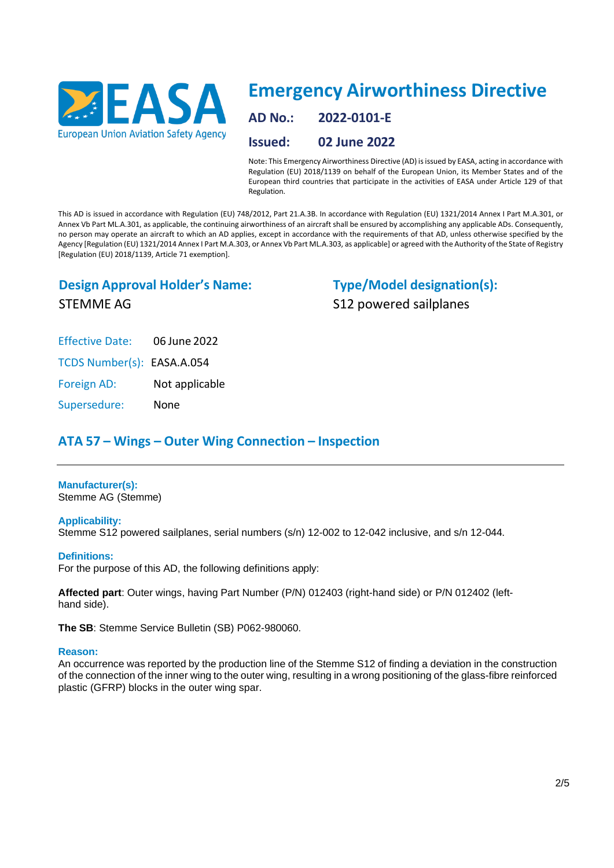

# **Emergency Airworthiness Directive**

**AD No.: 2022-0101-E**

**Issued: 02 June 2022**

Note: This Emergency Airworthiness Directive (AD) isissued by EASA, acting in accordance with Regulation (EU) 2018/1139 on behalf of the European Union, its Member States and of the European third countries that participate in the activities of EASA under Article 129 of that Regulation.

This AD is issued in accordance with Regulation (EU) 748/2012, Part 21.A.3B. In accordance with Regulation (EU) 1321/2014 Annex I Part M.A.301, or Annex Vb Part ML.A.301, as applicable, the continuing airworthiness of an aircraft shall be ensured by accomplishing any applicable ADs. Consequently, no person may operate an aircraft to which an AD applies, except in accordance with the requirements of that AD, unless otherwise specified by the Agency [Regulation (EU) 1321/2014 Annex I Part M.A.303, or Annex Vb Part ML.A.303, as applicable] or agreed with the Authority of the State of Registry [Regulation (EU) 2018/1139, Article 71 exemption].

## **Design Approval Holder's Name:**

**Type/Model designation(s):** S12 powered sailplanes

STEMME AG

Effective Date: 06 June 2022

TCDS Number(s): EASA.A.054

Foreign AD: Not applicable

Supersedure: None

## **ATA 57 – Wings – Outer Wing Connection – Inspection**

## **Manufacturer(s):**

Stemme AG (Stemme)

## **Applicability:**

Stemme S12 powered sailplanes, serial numbers (s/n) 12-002 to 12-042 inclusive, and s/n 12-044.

## **Definitions:**

For the purpose of this AD, the following definitions apply:

**Affected part**: Outer wings, having Part Number (P/N) 012403 (right-hand side) or P/N 012402 (lefthand side).

**The SB**: Stemme Service Bulletin (SB) P062-980060.

#### **Reason:**

An occurrence was reported by the production line of the Stemme S12 of finding a deviation in the construction of the connection of the inner wing to the outer wing, resulting in a wrong positioning of the glass-fibre reinforced plastic (GFRP) blocks in the outer wing spar.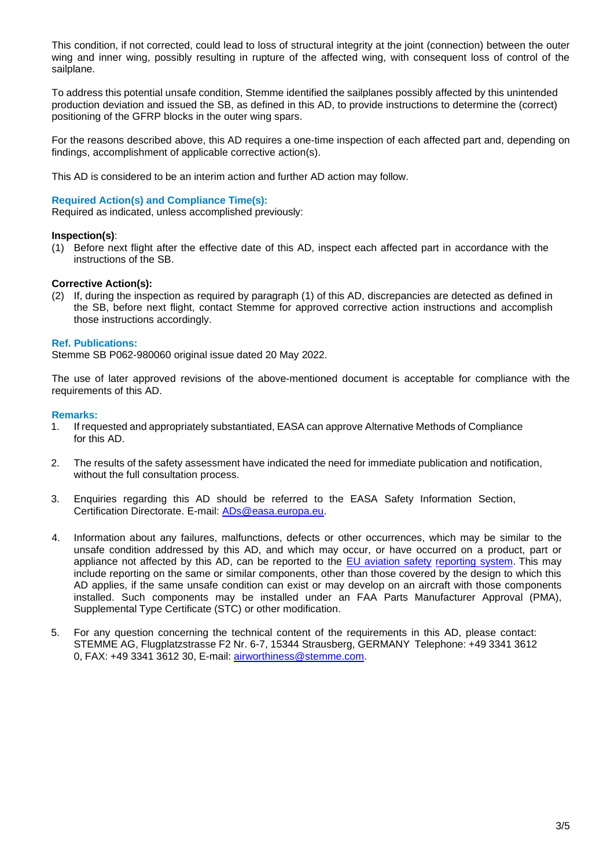This condition, if not corrected, could lead to loss of structural integrity at the joint (connection) between the outer wing and inner wing, possibly resulting in rupture of the affected wing, with consequent loss of control of the sailplane.

To address this potential unsafe condition, Stemme identified the sailplanes possibly affected by this unintended production deviation and issued the SB, as defined in this AD, to provide instructions to determine the (correct) positioning of the GFRP blocks in the outer wing spars.

For the reasons described above, this AD requires a one-time inspection of each affected part and, depending on findings, accomplishment of applicable corrective action(s).

This AD is considered to be an interim action and further AD action may follow.

### **Required Action(s) and Compliance Time(s):**

Required as indicated, unless accomplished previously:

#### **Inspection(s)**:

(1) Before next flight after the effective date of this AD, inspect each affected part in accordance with the instructions of the SB.

## **Corrective Action(s):**

(2) If, during the inspection as required by paragraph (1) of this AD, discrepancies are detected as defined in the SB, before next flight, contact Stemme for approved corrective action instructions and accomplish those instructions accordingly.

#### **Ref. Publications:**

Stemme SB P062-980060 original issue dated 20 May 2022.

The use of later approved revisions of the above-mentioned document is acceptable for compliance with the requirements of this AD.

#### **Remarks:**

- 1. If requested and appropriately substantiated, EASA can approve Alternative Methods of Compliance for this AD.
- 2. The results of the safety assessment have indicated the need for immediate publication and notification, without the full consultation process.
- 3. Enquiries regarding this AD should be referred to the EASA Safety Information Section, Certification Directorate. E-mail: [ADs@easa.europa.eu.](mailto:ADs@easa.europa.eu)
- 4. Information about any failures, malfunctions, defects or other occurrences, which may be similar to the unsafe condition addressed by this AD, and which may occur, or have occurred on a product, part or appliance not affected by this AD, can be reported to the [EU aviation safety](https://e2.aviationreporting.eu/reporting) [reporting system.](https://e2.aviationreporting.eu/reporting) This may include reporting on the same or similar components, other than those covered by the design to which this AD applies, if the same unsafe condition can exist or may develop on an aircraft with those components installed. Such components may be installed under an FAA Parts Manufacturer Approval (PMA), Supplemental Type Certificate (STC) or other modification.
- 5. For any question concerning the technical content of the requirements in this AD, please contact: STEMME AG, Flugplatzstrasse F2 Nr. 6-7, 15344 Strausberg, GERMANY Telephone: +49 3341 3612 0, FAX: +49 3341 3612 30, E-mail: [airworthiness@stemme.com.](mailto:airworthiness@stemme.com)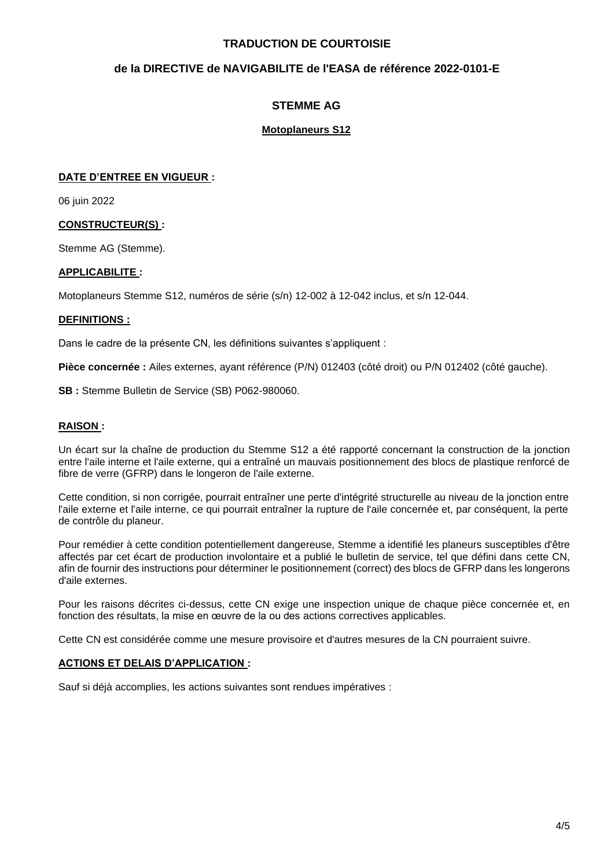## **TRADUCTION DE COURTOISIE**

## **de la DIRECTIVE de NAVIGABILITE de l'EASA de référence 2022-0101-E**

## **STEMME AG**

## **Motoplaneurs S12**

## **DATE D'ENTREE EN VIGUEUR :**

06 juin 2022

## **CONSTRUCTEUR(S) :**

Stemme AG (Stemme).

## **APPLICABILITE :**

Motoplaneurs Stemme S12, numéros de série (s/n) 12-002 à 12-042 inclus, et s/n 12-044.

## **DEFINITIONS :**

Dans le cadre de la présente CN, les définitions suivantes s'appliquent :

**Pièce concernée :** Ailes externes, ayant référence (P/N) 012403 (côté droit) ou P/N 012402 (côté gauche).

**SB :** Stemme Bulletin de Service (SB) P062-980060.

## **RAISON :**

Un écart sur la chaîne de production du Stemme S12 a été rapporté concernant la construction de la jonction entre l'aile interne et l'aile externe, qui a entraîné un mauvais positionnement des blocs de plastique renforcé de fibre de verre (GFRP) dans le longeron de l'aile externe.

Cette condition, si non corrigée, pourrait entraîner une perte d'intégrité structurelle au niveau de la jonction entre l'aile externe et l'aile interne, ce qui pourrait entraîner la rupture de l'aile concernée et, par conséquent, la perte de contrôle du planeur.

Pour remédier à cette condition potentiellement dangereuse, Stemme a identifié les planeurs susceptibles d'être affectés par cet écart de production involontaire et a publié le bulletin de service, tel que défini dans cette CN, afin de fournir des instructions pour déterminer le positionnement (correct) des blocs de GFRP dans les longerons d'aile externes.

Pour les raisons décrites ci-dessus, cette CN exige une inspection unique de chaque pièce concernée et, en fonction des résultats, la mise en œuvre de la ou des actions correctives applicables.

Cette CN est considérée comme une mesure provisoire et d'autres mesures de la CN pourraient suivre.

#### **ACTIONS ET DELAIS D'APPLICATION :**

Sauf si déjà accomplies, les actions suivantes sont rendues impératives :